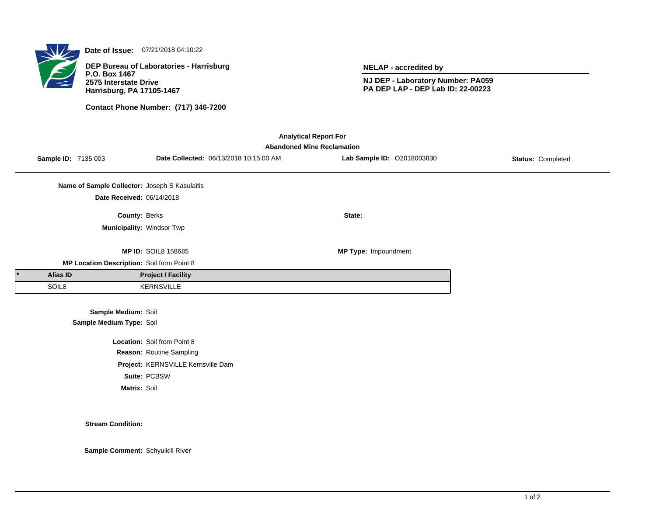

**Date of Issue:** 07/21/2018 04:10:22

**DEP Bureau of Laboratories - Harrisburg P.O. Box 1467 2575 Interstate Drive Harrisburg, PA 17105-1467**

**Contact Phone Number: (717) 346-7200**

**NELAP - accredited by**

**NJ DEP - Laboratory Number: PA059 PA DEP LAP - DEP Lab ID: 22-00223**

| <b>Analytical Report For</b><br><b>Abandoned Mine Reclamation</b> |                                               |                                    |                                        |                            |                          |  |  |  |  |
|-------------------------------------------------------------------|-----------------------------------------------|------------------------------------|----------------------------------------|----------------------------|--------------------------|--|--|--|--|
|                                                                   | Sample ID: 7135 003                           |                                    | Date Collected: 06/13/2018 10:15:00 AM | Lab Sample ID: 02018003830 | <b>Status: Completed</b> |  |  |  |  |
|                                                                   | Name of Sample Collector: Joseph S Kasulaitis |                                    |                                        |                            |                          |  |  |  |  |
|                                                                   | Date Received: 06/14/2018                     |                                    |                                        |                            |                          |  |  |  |  |
|                                                                   | County: Berks                                 |                                    |                                        | State:                     |                          |  |  |  |  |
|                                                                   |                                               | Municipality: Windsor Twp          |                                        |                            |                          |  |  |  |  |
|                                                                   |                                               | <b>MP ID: SOIL8 158685</b>         |                                        | MP Type: Impoundment       |                          |  |  |  |  |
|                                                                   | MP Location Description: Soil from Point 8    |                                    |                                        |                            |                          |  |  |  |  |
| <b>Alias ID</b>                                                   |                                               | <b>Project / Facility</b>          |                                        |                            |                          |  |  |  |  |
| SOIL8                                                             |                                               | <b>KERNSVILLE</b>                  |                                        |                            |                          |  |  |  |  |
|                                                                   | Sample Medium: Soil                           |                                    |                                        |                            |                          |  |  |  |  |
|                                                                   | Sample Medium Type: Soil                      |                                    |                                        |                            |                          |  |  |  |  |
|                                                                   |                                               | Location: Soil from Point 8        |                                        |                            |                          |  |  |  |  |
|                                                                   |                                               | Reason: Routine Sampling           |                                        |                            |                          |  |  |  |  |
|                                                                   |                                               | Project: KERNSVILLE Kernsville Dam |                                        |                            |                          |  |  |  |  |
|                                                                   |                                               | Suite: PCBSW                       |                                        |                            |                          |  |  |  |  |
|                                                                   | Matrix: Soil                                  |                                    |                                        |                            |                          |  |  |  |  |

**Stream Condition:**

**Sample Comment:** Schyulkill River